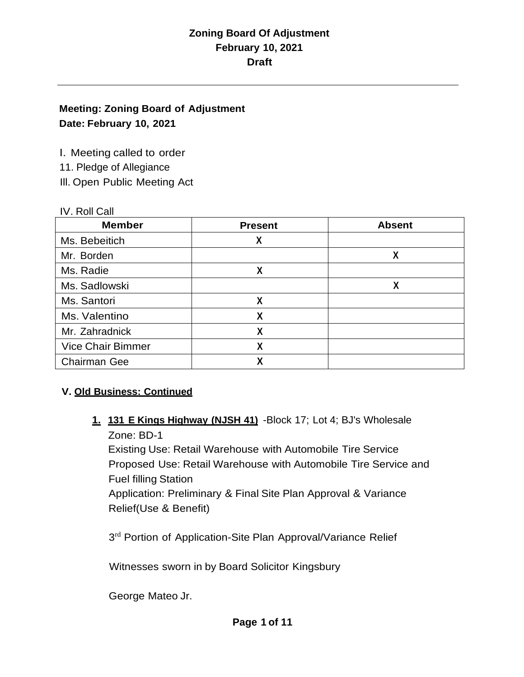### **Meeting: Zoning Board of Adjustment Date: February 10, 2021**

I. Meeting called to order

11. Pledge of Allegiance

Ill. Open Public Meeting Act

#### IV. Roll Call

| <b>Member</b>            | <b>Present</b> | <b>Absent</b> |
|--------------------------|----------------|---------------|
| Ms. Bebeitich            | χ              |               |
| Mr. Borden               |                | χ             |
| Ms. Radie                | χ              |               |
| Ms. Sadlowski            |                | χ             |
| Ms. Santori              | χ              |               |
| Ms. Valentino            | χ              |               |
| Mr. Zahradnick           | χ              |               |
| <b>Vice Chair Bimmer</b> | χ              |               |
| <b>Chairman Gee</b>      |                |               |

## **V. Old Business: Continued**

**1. 131 E Kings Highway (NJSH 41)** -Block 17; Lot 4; BJ's Wholesale Zone: BD-1

Existing Use: Retail Warehouse with Automobile Tire Service Proposed Use: Retail Warehouse with Automobile Tire Service and Fuel filling Station

Application: Preliminary & Final Site Plan Approval & Variance Relief(Use & Benefit)

3<sup>rd</sup> Portion of Application-Site Plan Approval/Variance Relief

Witnesses sworn in by Board Solicitor Kingsbury

George Mateo Jr.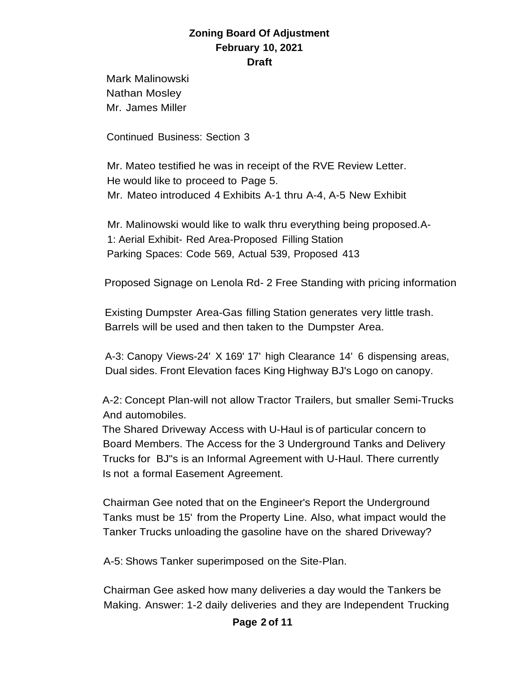Mark Malinowski Nathan Mosley Mr. James Miller

Continued Business: Section 3

Mr. Mateo testified he was in receipt of the RVE Review Letter. He would like to proceed to Page 5. Mr. Mateo introduced 4 Exhibits A-1 thru A-4, A-5 New Exhibit

Mr. Malinowski would like to walk thru everything being proposed.A-1: Aerial Exhibit- Red Area-Proposed Filling Station Parking Spaces: Code 569, Actual 539, Proposed 413

Proposed Signage on Lenola Rd- 2 Free Standing with pricing information

Existing Dumpster Area-Gas filling Station generates very little trash. Barrels will be used and then taken to the Dumpster Area.

A-3: Canopy Views-24' X 169' 17' high Clearance 14' 6 dispensing areas, Dual sides. Front Elevation faces King Highway BJ's Logo on canopy.

A-2: Concept Plan-will not allow Tractor Trailers, but smaller Semi-Trucks And automobiles.

The Shared Driveway Access with U-Haul is of particular concern to Board Members. The Access for the 3 Underground Tanks and Delivery Trucks for BJ"s is an Informal Agreement with U-Haul. There currently Is not a formal Easement Agreement.

Chairman Gee noted that on the Engineer's Report the Underground Tanks must be 15' from the Property Line. Also, what impact would the Tanker Trucks unloading the gasoline have on the shared Driveway?

A-5: Shows Tanker superimposed on the Site-Plan.

Chairman Gee asked how many deliveries a day would the Tankers be Making. Answer: 1-2 daily deliveries and they are Independent Trucking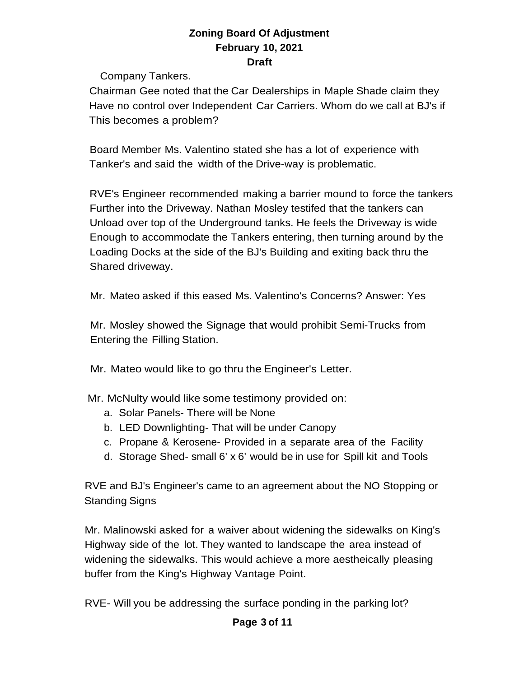Company Tankers.

Chairman Gee noted that the Car Dealerships in Maple Shade claim they Have no control over Independent Car Carriers. Whom do we call at BJ's if This becomes a problem?

Board Member Ms. Valentino stated she has a lot of experience with Tanker's and said the width of the Drive-way is problematic.

RVE's Engineer recommended making a barrier mound to force the tankers Further into the Driveway. Nathan Mosley testifed that the tankers can Unload over top of the Underground tanks. He feels the Driveway is wide Enough to accommodate the Tankers entering, then turning around by the Loading Docks at the side of the BJ's Building and exiting back thru the Shared driveway.

Mr. Mateo asked if this eased Ms. Valentino's Concerns? Answer: Yes

Mr. Mosley showed the Signage that would prohibit Semi-Trucks from Entering the Filling Station.

Mr. Mateo would like to go thru the Engineer's Letter.

Mr. McNulty would like some testimony provided on:

- a. Solar Panels- There will be None
- b. LED Downlighting- That will be under Canopy
- c. Propane & Kerosene- Provided in a separate area of the Facility
- d. Storage Shed- small 6' x 6' would be in use for Spill kit and Tools

RVE and BJ's Engineer's came to an agreement about the NO Stopping or Standing Signs

Mr. Malinowski asked for a waiver about widening the sidewalks on King's Highway side of the lot. They wanted to landscape the area instead of widening the sidewalks. This would achieve a more aestheically pleasing buffer from the King's Highway Vantage Point.

RVE- Will you be addressing the surface ponding in the parking lot?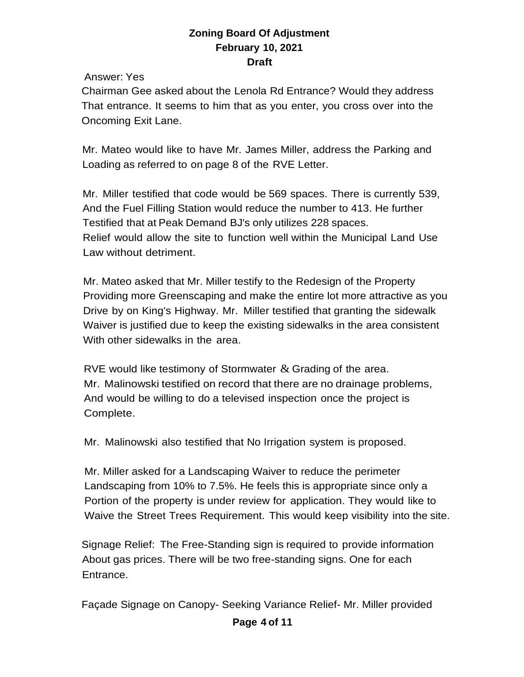Answer: Yes

Chairman Gee asked about the Lenola Rd Entrance? Would they address That entrance. It seems to him that as you enter, you cross over into the Oncoming Exit Lane.

Mr. Mateo would like to have Mr. James Miller, address the Parking and Loading as referred to on page 8 of the RVE Letter.

Mr. Miller testified that code would be 569 spaces. There is currently 539, And the Fuel Filling Station would reduce the number to 413. He further Testified that at Peak Demand BJ's only utilizes 228 spaces. Relief would allow the site to function well within the Municipal Land Use Law without detriment.

Mr. Mateo asked that Mr. Miller testify to the Redesign of the Property Providing more Greenscaping and make the entire lot more attractive as you Drive by on King's Highway. Mr. Miller testified that granting the sidewalk Waiver is justified due to keep the existing sidewalks in the area consistent With other sidewalks in the area.

RVE would like testimony of Stormwater  $\&$  Grading of the area. Mr. Malinowski testified on record that there are no drainage problems, And would be willing to do a televised inspection once the project is Complete.

Mr. Malinowski also testified that No Irrigation system is proposed.

Mr. Miller asked for a Landscaping Waiver to reduce the perimeter Landscaping from 10% to 7.5%. He feels this is appropriate since only a Portion of the property is under review for application. They would like to Waive the Street Trees Requirement. This would keep visibility into the site.

Signage Relief: The Free-Standing sign is required to provide information About gas prices. There will be two free-standing signs. One for each Entrance.

Façade Signage on Canopy- Seeking Variance Relief- Mr. Miller provided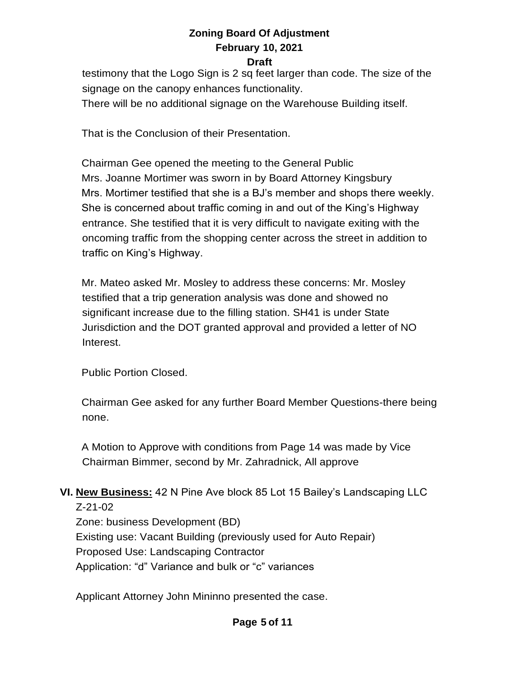# **Zoning Board Of Adjustment February 10, 2021**

#### **Draft**

testimony that the Logo Sign is 2 sq feet larger than code. The size of the signage on the canopy enhances functionality. There will be no additional signage on the Warehouse Building itself.

That is the Conclusion of their Presentation.

Chairman Gee opened the meeting to the General Public Mrs. Joanne Mortimer was sworn in by Board Attorney Kingsbury Mrs. Mortimer testified that she is a BJ's member and shops there weekly. She is concerned about traffic coming in and out of the King's Highway entrance. She testified that it is very difficult to navigate exiting with the oncoming traffic from the shopping center across the street in addition to traffic on King's Highway.

Mr. Mateo asked Mr. Mosley to address these concerns: Mr. Mosley testified that a trip generation analysis was done and showed no significant increase due to the filling station. SH41 is under State Jurisdiction and the DOT granted approval and provided a letter of NO Interest.

Public Portion Closed.

Chairman Gee asked for any further Board Member Questions-there being none.

A Motion to Approve with conditions from Page 14 was made by Vice Chairman Bimmer, second by Mr. Zahradnick, All approve

### **VI. New Business:** 42 N Pine Ave block 85 Lot 15 Bailey's Landscaping LLC Z-21-02

Zone: business Development (BD) Existing use: Vacant Building (previously used for Auto Repair) Proposed Use: Landscaping Contractor Application: "d" Variance and bulk or "c" variances

Applicant Attorney John Mininno presented the case.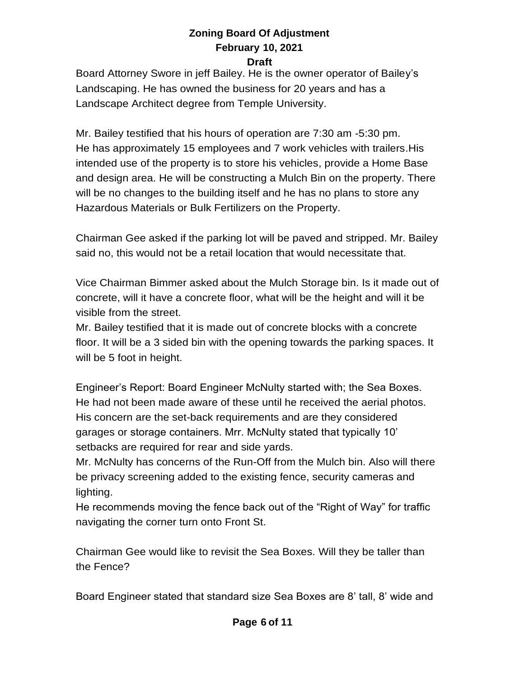Board Attorney Swore in jeff Bailey. He is the owner operator of Bailey's Landscaping. He has owned the business for 20 years and has a Landscape Architect degree from Temple University.

Mr. Bailey testified that his hours of operation are 7:30 am -5:30 pm. He has approximately 15 employees and 7 work vehicles with trailers.His intended use of the property is to store his vehicles, provide a Home Base and design area. He will be constructing a Mulch Bin on the property. There will be no changes to the building itself and he has no plans to store any Hazardous Materials or Bulk Fertilizers on the Property.

Chairman Gee asked if the parking lot will be paved and stripped. Mr. Bailey said no, this would not be a retail location that would necessitate that.

Vice Chairman Bimmer asked about the Mulch Storage bin. Is it made out of concrete, will it have a concrete floor, what will be the height and will it be visible from the street.

Mr. Bailey testified that it is made out of concrete blocks with a concrete floor. It will be a 3 sided bin with the opening towards the parking spaces. It will be 5 foot in height.

Engineer's Report: Board Engineer McNulty started with; the Sea Boxes. He had not been made aware of these until he received the aerial photos. His concern are the set-back requirements and are they considered garages or storage containers. Mrr. McNulty stated that typically 10' setbacks are required for rear and side yards.

Mr. McNulty has concerns of the Run-Off from the Mulch bin. Also will there be privacy screening added to the existing fence, security cameras and lighting.

He recommends moving the fence back out of the "Right of Way" for traffic navigating the corner turn onto Front St.

Chairman Gee would like to revisit the Sea Boxes. Will they be taller than the Fence?

Board Engineer stated that standard size Sea Boxes are 8' tall, 8' wide and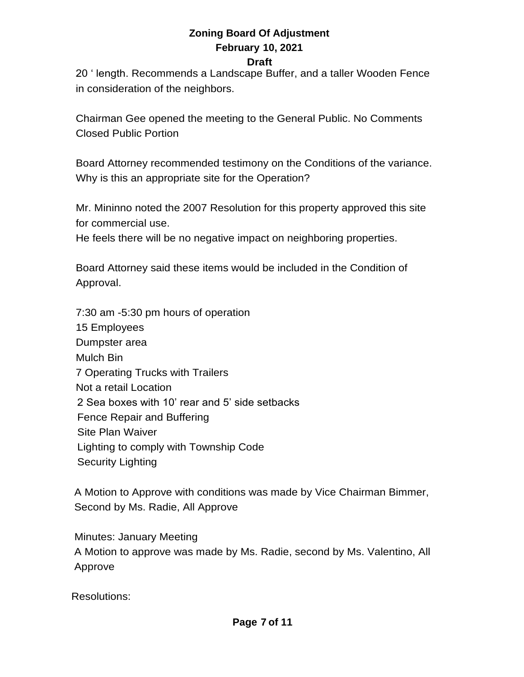# **Zoning Board Of Adjustment February 10, 2021**

**Draft**

20 ' length. Recommends a Landscape Buffer, and a taller Wooden Fence in consideration of the neighbors.

Chairman Gee opened the meeting to the General Public. No Comments Closed Public Portion

Board Attorney recommended testimony on the Conditions of the variance. Why is this an appropriate site for the Operation?

Mr. Mininno noted the 2007 Resolution for this property approved this site for commercial use.

He feels there will be no negative impact on neighboring properties.

Board Attorney said these items would be included in the Condition of Approval.

7:30 am -5:30 pm hours of operation 15 Employees Dumpster area Mulch Bin 7 Operating Trucks with Trailers Not a retail Location 2 Sea boxes with 10' rear and 5' side setbacks Fence Repair and Buffering Site Plan Waiver Lighting to comply with Township Code Security Lighting

 A Motion to Approve with conditions was made by Vice Chairman Bimmer, Second by Ms. Radie, All Approve

 Minutes: January Meeting A Motion to approve was made by Ms. Radie, second by Ms. Valentino, All Approve

Resolutions: